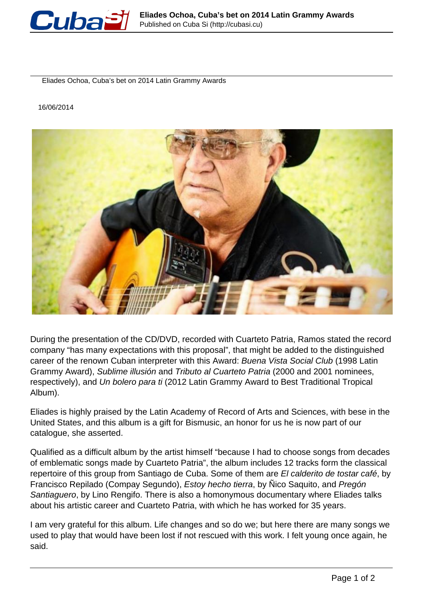

Eliades Ochoa, Cuba's bet on 2014 Latin Grammy Awards

16/06/2014



During the presentation of the CD/DVD, recorded with Cuarteto Patria, Ramos stated the record company "has many expectations with this proposal", that might be added to the distinguished career of the renown Cuban interpreter with this Award: Buena Vista Social Club (1998 Latin Grammy Award), Sublime illusión and Tributo al Cuarteto Patria (2000 and 2001 nominees, respectively), and Un bolero para ti (2012 Latin Grammy Award to Best Traditional Tropical Album).

Eliades is highly praised by the Latin Academy of Record of Arts and Sciences, with bese in the United States, and this album is a gift for Bismusic, an honor for us he is now part of our catalogue, she asserted.

Qualified as a difficult album by the artist himself "because I had to choose songs from decades of emblematic songs made by Cuarteto Patria", the album includes 12 tracks form the classical repertoire of this group from Santiago de Cuba. Some of them are El calderito de tostar café, by Francisco Repilado (Compay Segundo), Estoy hecho tierra, by Ñico Saquito, and Pregón Santiaguero, by Lino Rengifo. There is also a homonymous documentary where Eliades talks about his artistic career and Cuarteto Patria, with which he has worked for 35 years.

I am very grateful for this album. Life changes and so do we; but here there are many songs we used to play that would have been lost if not rescued with this work. I felt young once again, he said.